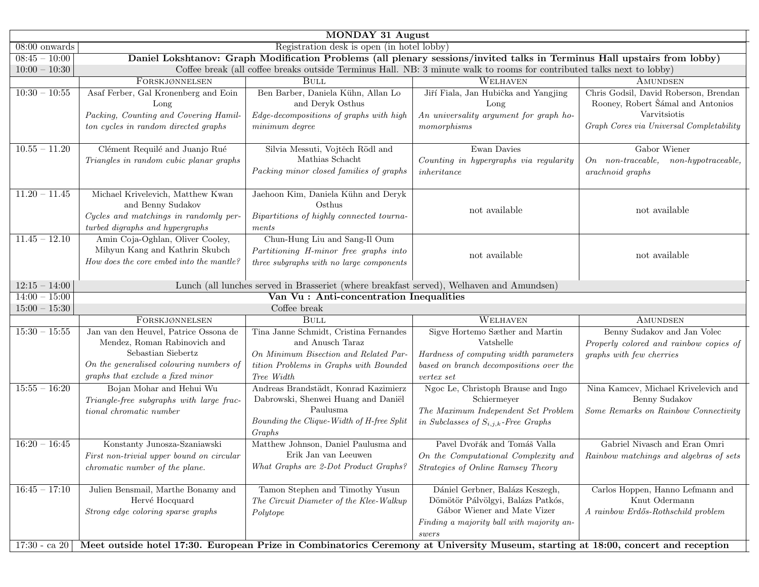| MONDAY 31 August                                                         |                                                                                                                                                                             |                                                                                                                                                             |                                                                                                                                                           |                                                                                                                                        |  |
|--------------------------------------------------------------------------|-----------------------------------------------------------------------------------------------------------------------------------------------------------------------------|-------------------------------------------------------------------------------------------------------------------------------------------------------------|-----------------------------------------------------------------------------------------------------------------------------------------------------------|----------------------------------------------------------------------------------------------------------------------------------------|--|
| Registration desk is open (in hotel lobby)<br>$\overline{08:}00$ onwards |                                                                                                                                                                             |                                                                                                                                                             |                                                                                                                                                           |                                                                                                                                        |  |
| $08:45 - 10:00$                                                          | Daniel Lokshtanov: Graph Modification Problems (all plenary sessions/invited talks in Terminus Hall upstairs from lobby)                                                    |                                                                                                                                                             |                                                                                                                                                           |                                                                                                                                        |  |
| $10:00 - 10:30$                                                          |                                                                                                                                                                             | Coffee break (all coffee breaks outside Terminus Hall. NB: 3 minute walk to rooms for contributed talks next to lobby)                                      |                                                                                                                                                           |                                                                                                                                        |  |
|                                                                          | FORSKJØNNELSEN                                                                                                                                                              | <b>BULL</b>                                                                                                                                                 | WELHAVEN                                                                                                                                                  | <b>AMUNDSEN</b>                                                                                                                        |  |
| $10:30 - 10:55$                                                          | Asaf Ferber, Gal Kronenberg and Eoin<br>Long<br>Packing, Counting and Covering Hamil-<br>ton cycles in random directed graphs                                               | Ben Barber, Daniela Kühn, Allan Lo<br>and Deryk Osthus<br>Edge-decompositions of graphs with high<br>minimum degree                                         | Jiří Fiala, Jan Hubička and Yangjing<br>Long<br>An universality argument for graph ho-<br>momorphisms                                                     | Chris Godsil, David Roberson, Brendan<br>Rooney, Robert Šámal and Antonios<br>Varvitsiotis<br>Graph Cores via Universal Completability |  |
| $10.55 - 11.20$                                                          | Clément Requilé and Juanjo Rué<br>Triangles in random cubic planar graphs                                                                                                   | Silvia Messuti, Vojtěch Rödl and<br>Mathias Schacht<br>Packing minor closed families of graphs                                                              | Ewan Davies<br>Counting in hypergraphs via regularity<br>inheritance                                                                                      | Gabor Wiener<br>$On$ non-traceable,<br>$non-hypotraceable,$<br>arachnoid graphs                                                        |  |
| $11.20 - 11.45$                                                          | Michael Krivelevich, Matthew Kwan<br>and Benny Sudakov<br>Cycles and matchings in randomly per-<br>turbed digraphs and hypergraphs                                          | Jaehoon Kim, Daniela Kühn and Deryk<br>Osthus<br>Bipartitions of highly connected tourna-<br>ments                                                          | not available                                                                                                                                             | not available                                                                                                                          |  |
| $11.45 - 12.10$                                                          | Amin Coja-Oghlan, Oliver Cooley,<br>Mihyun Kang and Kathrin Skubch<br>How does the core embed into the mantle?                                                              | Chun-Hung Liu and Sang-Il Oum<br>Partitioning H-minor free graphs into<br>three subgraphs with no large components                                          | not available                                                                                                                                             | not available                                                                                                                          |  |
| $12:15 - 14:00$                                                          | Lunch (all lunches served in Brasseriet (where breakfast served), Welhaven and Amundsen)                                                                                    |                                                                                                                                                             |                                                                                                                                                           |                                                                                                                                        |  |
| $14:00 - 15:00$                                                          |                                                                                                                                                                             | Van Vu : Anti-concentration Inequalities                                                                                                                    |                                                                                                                                                           |                                                                                                                                        |  |
| $15:00 - 15:30$                                                          |                                                                                                                                                                             | Coffee break                                                                                                                                                |                                                                                                                                                           |                                                                                                                                        |  |
|                                                                          | FORSKJØNNELSEN                                                                                                                                                              | <b>BULL</b>                                                                                                                                                 | WELHAVEN                                                                                                                                                  | AMUNDSEN                                                                                                                               |  |
| $15:30 - 15:55$                                                          | Jan van den Heuvel, Patrice Ossona de<br>Mendez, Roman Rabinovich and<br>Sebastian Siebertz<br>On the generalised colouring numbers of<br>graphs that exclude a fixed minor | Tina Janne Schmidt, Cristina Fernandes<br>and Anusch Taraz<br>On Minimum Bisection and Related Par-<br>tition Problems in Graphs with Bounded<br>Tree Width | Sigve Hortemo Sæther and Martin<br>Vatshelle<br>Hardness of computing width parameters<br>based on branch decompositions over the<br>vertex set           | Benny Sudakov and Jan Volec<br>Properly colored and rainbow copies of<br>graphs with few cherries                                      |  |
| $15:55 - 16:20$                                                          | Bojan Mohar and Hehui Wu<br>Triangle-free subgraphs with large frac-<br>tional chromatic number                                                                             | Andreas Brandstädt, Konrad Kazimierz<br>Dabrowski, Shenwei Huang and Daniël<br>Paulusma<br>Bounding the Clique-Width of H-free Split<br>Graphs              | Ngoc Le, Christoph Brause and Ingo<br>Schiermeyer<br>The Maximum Independent Set Problem<br>in Subclasses of $S_{i,j,k}$ -Free Graphs                     | Nina Kamcev, Michael Krivelevich and<br>Benny Sudakov<br>Some Remarks on Rainbow Connectivity                                          |  |
| $16:20 - 16:45$                                                          | Konstanty Junosza-Szaniawski<br>First non-trivial upper bound on circular<br><i>chromatic number of the plane.</i>                                                          | Matthew Johnson, Daniel Paulusma and<br>Erik Jan van Leeuwen<br>What Graphs are 2-Dot Product Graphs?                                                       | Pavel Dvořák and Tomáš Valla<br>On the Computational Complexity and<br>Strategies of Online Ramsey Theory                                                 | Gabriel Nivasch and Eran Omri<br>Rainbow matchings and algebras of sets                                                                |  |
| $16:45 - 17:10$                                                          | Julien Bensmail, Marthe Bonamy and<br>Hervé Hocquard<br>Strong edge coloring sparse graphs                                                                                  | Tamon Stephen and Timothy Yusun<br>The Circuit Diameter of the Klee-Walkup<br>Polytope                                                                      | Dániel Gerbner, Balázs Keszegh,<br>Dömötör Pálvölgyi, Balázs Patkós,<br>Gábor Wiener and Mate Vizer<br>Finding a majority ball with majority an-<br>swers | Carlos Hoppen, Hanno Lefmann and<br>Knut Odermann<br>A rainbow Erdős-Rothschild problem                                                |  |
| $17:30 - ca$ 20                                                          | Meet outside hotel 17:30. European Prize in Combinatorics Ceremony at University Museum, starting at 18:00, concert and reception                                           |                                                                                                                                                             |                                                                                                                                                           |                                                                                                                                        |  |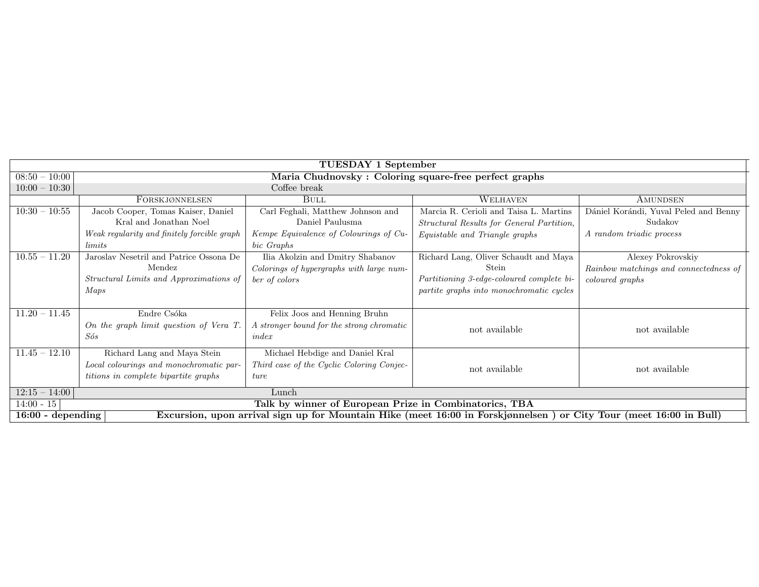| TUESDAY 1 September                                                                                                                       |                                                                                                                |                                                                                               |                                                                                                                                         |                                                                                |
|-------------------------------------------------------------------------------------------------------------------------------------------|----------------------------------------------------------------------------------------------------------------|-----------------------------------------------------------------------------------------------|-----------------------------------------------------------------------------------------------------------------------------------------|--------------------------------------------------------------------------------|
| $08:50 - 10:00$                                                                                                                           | Maria Chudnovsky: Coloring square-free perfect graphs                                                          |                                                                                               |                                                                                                                                         |                                                                                |
| $10:00 - 10:30$                                                                                                                           | Coffee break                                                                                                   |                                                                                               |                                                                                                                                         |                                                                                |
|                                                                                                                                           | FORSKJØNNELSEN                                                                                                 | <b>BULL</b>                                                                                   | WELHAVEN                                                                                                                                | AMUNDSEN                                                                       |
| $10:30 - 10:55$                                                                                                                           | Jacob Cooper, Tomas Kaiser, Daniel<br>Kral and Jonathan Noel                                                   | Carl Feghali, Matthew Johnson and<br>Daniel Paulusma                                          | Marcia R. Cerioli and Taisa L. Martins<br>Structural Results for General Partition,                                                     | Dániel Korándi, Yuval Peled and Benny<br>Sudakov                               |
|                                                                                                                                           | Weak regularity and finitely forcible graph<br><i>limits</i>                                                   | Kempe Equivalence of Colourings of Cu-<br>bic Graphs                                          | Equistable and Triangle graphs                                                                                                          | A random triadic process                                                       |
| $10.55 - 11.20$                                                                                                                           | Jaroslav Nesetril and Patrice Ossona De<br>Mendez<br><i>Structural Limits and Approximations of</i><br>Maps    | Ilia Akolzin and Dmitry Shabanov<br>Colorings of hypergraphs with large num-<br>ber of colors | Richard Lang, Oliver Schaudt and Maya<br>Stein<br>Partitioning 3-edge-coloured complete bi-<br>partite graphs into monochromatic cycles | Alexey Pokrovskiy<br>Rainbow matchings and connectedness of<br>coloured graphs |
| $11.20 - 11.45$                                                                                                                           | Endre Csóka<br>On the graph limit question of Vera T.<br>Sós                                                   | Felix Joos and Henning Bruhn<br>A stronger bound for the strong chromatic<br>index            | not available                                                                                                                           | not available                                                                  |
| $11.45 - 12.10$                                                                                                                           | Richard Lang and Maya Stein<br>Local colourings and monochromatic par-<br>titions in complete bipartite graphs | Michael Hebdige and Daniel Kral<br>Third case of the Cyclic Coloring Conjec-<br>ture          | not available                                                                                                                           | not available                                                                  |
| $12:15 - 14:00$<br>Lunch                                                                                                                  |                                                                                                                |                                                                                               |                                                                                                                                         |                                                                                |
| $14:00 - 15$<br>Talk by winner of European Prize in Combinatorics, TBA                                                                    |                                                                                                                |                                                                                               |                                                                                                                                         |                                                                                |
| Excursion, upon arrival sign up for Mountain Hike (meet 16:00 in Forskjønnelsen) or City Tour (meet 16:00 in Bull)<br>$16:00$ - depending |                                                                                                                |                                                                                               |                                                                                                                                         |                                                                                |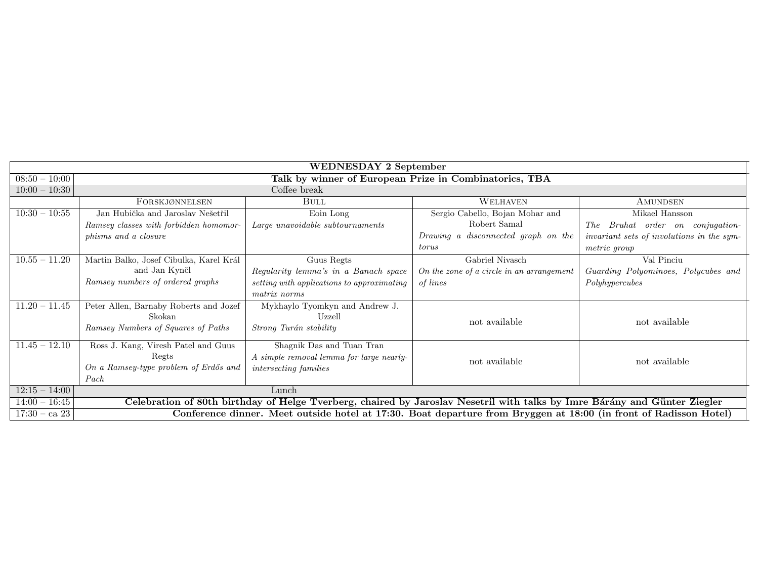| <b>WEDNESDAY 2 September</b> |                                                                                                                           |                                            |                                           |                                            |
|------------------------------|---------------------------------------------------------------------------------------------------------------------------|--------------------------------------------|-------------------------------------------|--------------------------------------------|
| $08:50 - 10:00$              | Talk by winner of European Prize in Combinatorics, TBA                                                                    |                                            |                                           |                                            |
| $10:00 - 10:30$              | Coffee break                                                                                                              |                                            |                                           |                                            |
|                              | FORSKJØNNELSEN                                                                                                            | <b>BULL</b>                                | WELHAVEN                                  | AMUNDSEN                                   |
| $10:30 - 10:55$              | Jan Hubička and Jaroslav Nešetřil                                                                                         | Eoin Long                                  | Sergio Cabello, Bojan Mohar and           | Mikael Hansson                             |
|                              | Ramsey classes with forbidden homomor-                                                                                    | Large unavoidable subtournaments           | Robert Samal                              | Bruhat order on conjugation-<br><i>The</i> |
|                              | <i>phisms and a closure</i>                                                                                               |                                            | Drawing a disconnected graph on the       | invariant sets of involutions in the sym-  |
|                              |                                                                                                                           |                                            | torus                                     | metric group                               |
| $10.55 - 11.20$              | Martin Balko, Josef Cibulka, Karel Král                                                                                   | Guus Regts                                 | Gabriel Nivasch                           | Val Pinciu                                 |
|                              | and Jan Kynčl                                                                                                             | Regularity lemma's in a Banach space       | On the zone of a circle in an arrangement | Guarding Polyominoes, Polycubes and        |
|                              | Ramsey numbers of ordered graphs                                                                                          | setting with applications to approximating | of lines                                  | Polyhypercubes                             |
|                              |                                                                                                                           | matrix norms                               |                                           |                                            |
| $11.20 - 11.45$              | Peter Allen, Barnaby Roberts and Jozef                                                                                    | Mykhaylo Tyomkyn and Andrew J.             |                                           |                                            |
|                              | Skokan                                                                                                                    | Uzzell                                     | not available                             | not available                              |
|                              | Ramsey Numbers of Squares of Paths                                                                                        | Strong Turán stability                     |                                           |                                            |
| $11.45 - 12.10$              | Ross J. Kang, Viresh Patel and Guus                                                                                       | Shagnik Das and Tuan Tran                  |                                           |                                            |
|                              | Regts                                                                                                                     | A simple removal lemma for large nearly-   | not available                             | not available                              |
|                              | On a Ramsey-type problem of Erdős and                                                                                     | <i>intersecting families</i>               |                                           |                                            |
|                              | Pack                                                                                                                      |                                            |                                           |                                            |
| $12:15 - 14:00$              | Lunch                                                                                                                     |                                            |                                           |                                            |
| $14:00 - 16:45$              | Celebration of 80th birthday of Helge Tverberg, chaired by Jaroslav Nesetril with talks by Imre Bárány and Günter Ziegler |                                            |                                           |                                            |
| $17:30 - ca$ 23              | Conference dinner. Meet outside hotel at 17:30. Boat departure from Bryggen at 18:00 (in front of Radisson Hotel)         |                                            |                                           |                                            |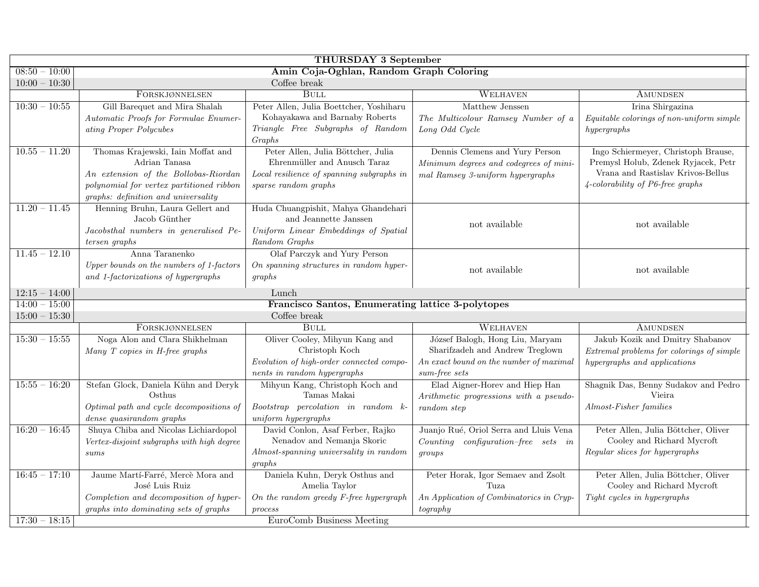| THURSDAY 3 September |                                                |                                                   |                                          |                                                |
|----------------------|------------------------------------------------|---------------------------------------------------|------------------------------------------|------------------------------------------------|
| $08:50 - 10:00$      | Amin Coja-Oghlan, Random Graph Coloring        |                                                   |                                          |                                                |
| $10:00 - 10:30$      | Coffee break                                   |                                                   |                                          |                                                |
|                      | FORSKJØNNELSEN                                 | <b>BULL</b>                                       | WELHAVEN                                 | AMUNDSEN                                       |
| $10:30 - 10:55$      | Gill Barequet and Mira Shalah                  | Peter Allen, Julia Boettcher, Yoshiharu           | Matthew Jenssen                          | Irina Shirgazina                               |
|                      | Automatic Proofs for Formulae Enumer-          | Kohayakawa and Barnaby Roberts                    | The Multicolour Ramsey Number of a       | Equitable colorings of non-uniform simple      |
|                      | ating Proper Polycubes                         | Triangle Free Subgraphs of Random                 | Long Odd Cycle                           | hypergraphs                                    |
|                      |                                                | Graphs                                            |                                          |                                                |
| $10.55 - 11.20$      | Thomas Krajewski, Iain Moffat and              | Peter Allen, Julia Böttcher, Julia                | Dennis Clemens and Yury Person           | Ingo Schiermeyer, Christoph Brause,            |
|                      | Adrian Tanasa                                  | Ehrenmüller and Anusch Taraz                      | Minimum degrees and codegrees of mini-   | Premysl Holub, Zdenek Ryjacek, Petr            |
|                      | An extension of the Bollobas-Riordan           | Local resilience of spanning subgraphs in         | mal Ramsey 3-uniform hypergraphs         | Vrana and Rastislav Krivos-Bellus              |
|                      | polynomial for vertex partitioned ribbon       | sparse random graphs                              |                                          | $4$ -colorability of P6-free graphs            |
|                      | $graphs:$ $definition\ and\ universality$      |                                                   |                                          |                                                |
| $11.20 - 11.45$      | Henning Bruhn, Laura Gellert and               | Huda Chuangpishit, Mahya Ghandehari               |                                          |                                                |
|                      | Jacob Günther                                  | and Jeannette Janssen                             | not available                            | not available                                  |
|                      | Jacobsthal numbers in generalised Pe-          | Uniform Linear Embeddings of Spatial              |                                          |                                                |
|                      | $tersen\ graphs$                               | Random Graphs                                     |                                          |                                                |
| $11.45 - 12.10$      | Anna Taranenko                                 | Olaf Parczyk and Yury Person                      |                                          |                                                |
|                      | Upper bounds on the numbers of 1-factors       | On spanning structures in random hyper-           | not available                            | not available                                  |
|                      | and 1-factorizations of hypergraphs            | graphs                                            |                                          |                                                |
| $12:15 - 14:00$      |                                                | Lunch                                             |                                          |                                                |
| $14:00 - 15:00$      |                                                | Francisco Santos, Enumerating lattice 3-polytopes |                                          |                                                |
| $15:00 - 15:30$      |                                                | Coffee break                                      |                                          |                                                |
|                      | FORSKJØNNELSEN                                 | <b>BULL</b>                                       | WELHAVEN                                 | AMUNDSEN                                       |
| $15:30 - 15:55$      | Noga Alon and Clara Shikhelman                 | Oliver Cooley, Mihyun Kang and                    | József Balogh, Hong Liu, Maryam          | Jakub Kozik and Dmitry Shabanov                |
|                      | Many $T$ copies in H-free graphs               | Christoph Koch                                    | Sharifzadeh and Andrew Treglown          | Extremal problems for colorings of simple      |
|                      |                                                | Evolution of high-order connected compo-          | An exact bound on the number of maximal  | hypergraphs and applications                   |
|                      |                                                | nents in random hypergraphs                       | sum-free sets                            |                                                |
| $15:55 - 16:20$      | Stefan Glock, Daniela Kühn and Deryk<br>Osthus | Mihyun Kang, Christoph Koch and<br>Tamas Makai    | Elad Aigner-Horev and Hiep Han           | Shagnik Das, Benny Sudakov and Pedro<br>Vieira |
|                      | Optimal path and cycle decompositions of       | Bootstrap percolation in random k-                | Arithmetic progressions with a pseudo-   | Almost-Fisher families                         |
|                      | dense quasirandom graphs                       | uniform hypergraphs                               | random step                              |                                                |
| $16:20 - 16:45$      | Shuya Chiba and Nicolas Lichiardopol           | David Conlon, Asaf Ferber, Rajko                  | Juanjo Rué, Oriol Serra and Lluis Vena   | Peter Allen, Julia Böttcher, Oliver            |
|                      | Vertex-disjoint subgraphs with high degree     | Nenadov and Nemanja Skoric                        | $Counting$ configuration-free sets in    | Cooley and Richard Mycroft                     |
|                      | sums                                           | Almost-spanning universality in random            | qrows                                    | Regular slices for hypergraphs                 |
|                      |                                                | graphs                                            |                                          |                                                |
| $16:45 - 17:10$      | Jaume Martí-Farré, Mercè Mora and              | Daniela Kuhn, Deryk Osthus and                    | Peter Horak, Igor Semaev and Zsolt       | Peter Allen, Julia Böttcher, Oliver            |
|                      | José Luis Ruiz                                 | Amelia Taylor                                     | Tuza                                     | Cooley and Richard Mycroft                     |
|                      | Completion and decomposition of hyper-         | On the random greedy $F$ -free hypergraph         | An Application of Combinatorics in Cryp- | Tight cycles in hypergraphs                    |
|                      | graphs into dominating sets of graphs          | process                                           | tography                                 |                                                |
| $17:30 - 18:15$      |                                                | EuroComb Business Meeting                         |                                          |                                                |